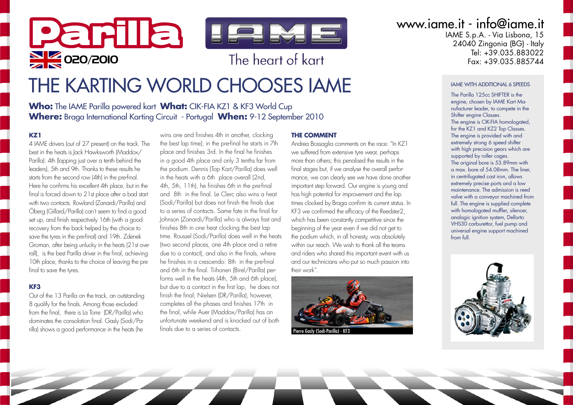

# THE KARTING WORLD CHOOSES IAME

**Who:** The IAME Parilla powered kart **What:** CIK-FIA KZ1 & KF3 World Cup **Where:** Braga International Karting Circuit - Portugal **When:** 9-12 September 2010

#### **KZ1**

4 IAME drivers (out of 27 present) on the track. The best in the heats is Jack Hawksworth (Maddox/ Parilla): 4th (lapping just over a tenth behind the leaders), 5th and 9th. Thanks to these results he starts from the second row (4th) in the pre-final. Here he confirms his excellent 4th place, but in the final is forced down to 21st place after a bad start with two contacts. Rowland (Zanardi/Parilla) and Öberg (Gillard/Parilla) can't seem to find a good set up, and finish respectively 16th (with a good recovery from the back helped by the choice to save the tyres in the pre-final) and 19th. Zdenek Groman, after being unlucky in the heats (21st overall), is the best Parilla driver in the final, achieving 10th place, thanks to the choice of leaving the pre final to save the tyres.

#### **KF3**

Out of the 13 Parilla on the track, an outstanding 8 qualify for the finals. Among those excluded from the final, there is La Torre (DR/Parilla) who dominates the consolation final. Gasly (Sodi/Parilla) shows a good performance in the heats (he

wins one and finishes 4th in another, clocking the best lap time); in the pre-final he starts in 7th place and finishes 3rd. In the final he finishes in a good 4th place and only 3 tenths far from the podium. Dennis (Top Kart/Parilla) does well in the heats with a 6th place overall (2nd, 4th, 5th, 11th), he finishes 6th in the pre-final and 8th in the final. Le Clerc also wins a heat (Sodi/Parilla) but does not finish the finals due to a series of contacts. Same fate in the final for Johnson (Zanardi/Parilla) who is always fast and finishes 8th in one heat clocking the best lap time. Roussel (Sodi/Parilla) does well in the heats (two second places, one 4th place and a retire due to a contact), and also in the finals, where he finishes in a crescendo: 8th in the pre-final and 6th in the final. Tiihonen (Birel/Parilla) performs well in the heats (4th, 5th and 6th place), but due to a contact in the first lap, he does not finish the final; Nielsen (DR/Parilla), however, completes all the phases and finishes 17th in the final, while Auer (Maddox/Parilla) has an unfortunate weekend and is knocked out of both finals due to a series of contacts.

#### **THE COMMENT**

Andrea Bossaglia comments on the race: "In KZ1 we suffered from extensive tyre wear, perhaps more than others; this penalised the results in the final stages but, if we analyse the overall performance, we can clearly see we have done another important step forward. Our engine is young and has high potential for improvement and the lap times clocked by Braga confirm its current status. In KF3 we confirmed the efficacy of the Reedster2, which has been constantly competitive since the beginning of the year even if we did not get to the podium which, in all honesty, was absolutely within our reach. We wish to thank all the teams and riders who shared this important event with us and our technicians who put so much passion into their work".



Pierre Gasly (Sodi-Parilla) - KF3

www.iame.it - info@iame.it

IAME S.p.A. - Via Lisbona, 15 24040 Zingonia (BG) - Italy Tel: +39.035.883022<br>Eax: +39.035.885744

#### IAME WITH ADDITIONAL 6 SPEEDS

The Parilla 125cc SHIFTER is the engine, chosen by IAME Kart Manufacturer leader, to compete in the Shifter engine Classes. The engine is CIK-FIA homologated, for the KZ1 and KZ2 Top Classes. The engine is provided with and extremely strong 6 speed shifter with high precision gears which are supported by roller cages. The original bore is 53.89mm with a max. bore of 54.08mm. The liner, in centrifugated cast iron, allows extremely precise ports and a low maintenance. The admission is reed valve with a conveyor machined from full. The engine is supplied complete with homologated muffler, silencer, analogic ignition system, Dellorto VHS30 carburettor, fuel pump and universal engine support machined from full.

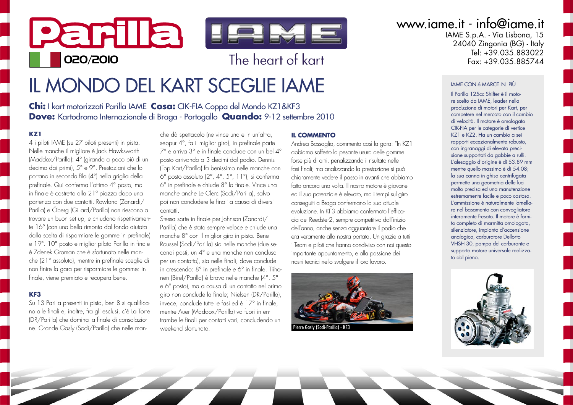# Parila IFIME **020/2010 b** The heart of kart

## IL MONDO DEL KART SCEGLIE IAME

**Chi:** I kart motorizzati Parilla IAME **Cosa:** CIK-FIA Coppa del Mondo KZ1&KF3 **Dove:** Kartodromo Internazionale di Braga - Portogallo **Quando:** 9-12 settembre 2010

### **KZ1**

4 i piloti IAME (su 27 piloti presenti) in pista. Nelle manche il migliore è Jack Hawksworth (Maddox/Parilla): 4° (girando a poco più di un decimo dai primi), 5° e 9°. Prestazioni che lo portano in seconda fila (4°) nella griglia della prefinale. Qui conferma l'ottimo 4° posto, ma in finale è costretto alla 21ª piazza dopo una partenza con due contatti. Rowland (Zanardi/ Parilla) e Öberg (Gillard/Parilla) non riescono a trovare un buon set up, e chiudono rispettivamente 16° (con una bella rimonta dal fondo aiutata dalla scelta di risparmiare le gomme in prefinale) e 19°. 10° posto e miglior pilota Parilla in finale è Zdenek Groman che è sfortunato nelle manche (21° assoluto), mentre in prefinale sceglie di non finire la gara per risparmiare le gomme: in finale, viene premiato e recupera bene.

### **KF3**

Su 13 Parilla presenti in pista, ben 8 si qualificano alle finali e, inoltre, fra gli esclusi, c'è La Torre (DR/Parilla) che domina la finale di consolazione. Grande Gasly (Sodi/Parilla) che nelle man-

che dà spettacolo (ne vince una e in un'altra, seppur 4°, fa il miglior giro), in prefinale parte 7° e arriva 3° e in finale conclude con un bel 4° posto arrivando a 3 decimi dal podio. Dennis (Top Kart/Parilla) fa benissimo nelle manche con 6° posto assoluto (2°, 4°, 5°, 11°), si conferma 6° in prefinale e chiude 8° la finale. Vince una manche anche Le Clerc (Sodi/Parilla), salvo poi non concludere le finali a causa di diversi contatti.

Stessa sorte in finale per Johnson (Zanardi/ Parilla) che è stato sempre veloce e chiude una manche 8° con il miglior giro in pista. Bene Roussel (Sodi/Parilla) sia nelle manche (due secondi posti, un 4° e una manche non conclusa per un contatto), sia nelle finali, dove conclude in crescendo: 8° in prefinale e 6° in finale. Tiihonen (Birel/Parilla) è bravo nelle manche (4°, 5° e 6° posto), ma a causa di un contatto nel primo giro non conclude la finale; Nielsen (DR/Parilla), invece, conclude tutte le fasi ed è 17° in finale, mentre Auer (Maddox/Parilla) va fuori in entrambe le finali per contatti vari, concludendo un weekend sfortunato.

### **IL COMMENTO**

Andrea Bossaglia, commenta così la gara: "In KZ1 abbiamo sofferto la pesante usura delle gomme forse più di altri, penalizzando il risultato nelle fasi finali; ma analizzando la prestazione si può chiaramente vedere il passo in avanti che abbiamo fatto ancora una volta. Il nostro motore è giovane ed il suo potenziale è elevato, ma i tempi sul giro conseguiti a Braga confermano la sua attuale evoluzione. In KF3 abbiamo confermato l'efficacia del Reedster2, sempre competitivo dall'inizio dell'anno, anche senza agguantare il podio che era veramente alla nostra portata. Un grazie a tutti i Team e piloti che hanno condiviso con noi questo importante appuntamento, e alla passione dei nostri tecnici nello svolgere il loro lavoro.



Pierre Gasly (Sodi-Parilla) - KF3

www.iame.it - info@iame.it

IAME S.p.A. - Via Lisbona, 15 24040 Zingonia (BG) - Italy Tel: +39.035.883022<br>Eax: +39.035.885744

#### IAME CON 6 MARCE IN PIÙ

Il Parilla 125cc Shifter è il motore scelto da IAME, leader nella produzione di motori per Kart, per competere nel mercato con il cambio di velocità. Il motore è omologato CIK-FIA per le categorie di vertice KZ1 e KZ2. Ha un cambio a sei rapporti eccezionalmente robusto, con ingranaggi di elevata precisione supportati da gabbie a rulli. L'alesaggio d'origine è di 53.89 mm mentre quello massimo è di 54.08; la sua canna in ghisa centrifugata permette una geometria delle luci molto precisa ed una manutenzione estremamente facile e poco costosa. L'ammissione è naturalmente lamellare nel basamento con convogliatore interamente fresato. Il motore è fornito completo di marmitta omologata, silenziatore, impianto d'accensione analogico, carburatore Dellorto VHSH 30, pompa del carburante e supporto motore universale realizzato dal pieno.